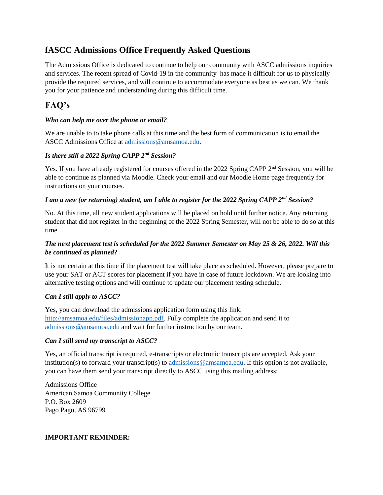# **fASCC Admissions Office Frequently Asked Questions**

The Admissions Office is dedicated to continue to help our community with ASCC admissions inquiries and services. The recent spread of Covid-19 in the community has made it difficult for us to physically provide the required services, and will continue to accommodate everyone as best as we can. We thank you for your patience and understanding during this difficult time.

## **FAQ's**

#### *Who can help me over the phone or email?*

We are unable to to take phone calls at this time and the best form of communication is to email the ASCC Admissions Office at [admissions@amsamoa.edu.](mailto:admissions@amsamoa.edu)

## *Is there still a 2022 Spring CAPP 2nd Session?*

Yes. If you have already registered for courses offered in the 2022 Spring CAPP 2<sup>nd</sup> Session, you will be able to continue as planned via Moodle. Check your email and our Moodle Home page frequently for instructions on your courses.

## *I am a new (or returning) student, am I able to register for the 2022 Spring CAPP 2nd Session?*

No. At this time, all new student applications will be placed on hold until further notice. Any returning student that did not register in the beginning of the 2022 Spring Semester, will not be able to do so at this time.

### *The next placement test is scheduled for the 2022 Summer Semester on May 25 & 26, 2022. Will this be continued as planned?*

It is not certain at this time if the placement test will take place as scheduled. However, please prepare to use your SAT or ACT scores for placement if you have in case of future lockdown. We are looking into alternative testing options and will continue to update our placement testing schedule.

#### *Can I still apply to ASCC?*

Yes, you can download the admissions application form using this link: [http://amsamoa.edu/files/admissionapp.pdf.](http://amsamoa.edu/files/admissionapp.pdf) Fully complete the application and send it to [admissions@amsamoa.edu](mailto:admissions@amsamoa.edu) and wait for further instruction by our team.

#### *Can I still send my transcript to ASCC?*

Yes, an official transcript is required, e-transcripts or electronic transcripts are accepted. Ask your institution(s) to forward your transcript(s) to [admissions@amsamoa.edu.](mailto:admissions@amsamoa.edu) If this option is not available, you can have them send your transcript directly to ASCC using this mailing address:

Admissions Office American Samoa Community College P.O. Box 2609 Pago Pago, AS 96799

#### **IMPORTANT REMINDER:**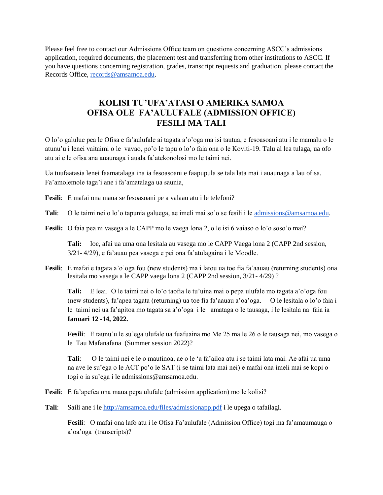Please feel free to contact our Admissions Office team on questions concerning ASCC's admissions application, required documents, the placement test and transferring from other institutions to ASCC. If you have questions concerning registration, grades, transcript requests and graduation, please contact the Records Office, [records@amsamoa.edu.](mailto:records@amsamoa.edu)

# **KOLISI TU'UFA'ATASI O AMERIKA SAMOA OFISA OLE FA'AULUFALE (ADMISSION OFFICE) FESILI MA TALI**

O lo'o galulue pea le Ofisa e fa'aulufale ai tagata a'o'oga ma isi tautua, e fesoasoani atu i le mamalu o le atunu'u i lenei vaitaimi o le vavao, po'o le tapu o lo'o faia ona o le Koviti-19. Talu ai lea tulaga, ua ofo atu ai e le ofisa ana auaunaga i auala fa'atekonolosi mo le taimi nei.

Ua tuufaatasia lenei faamatalaga ina ia fesoasoani e faapupula se tala lata mai i auaunaga a lau ofisa. Fa'amolemole taga'i ane i fa'amatalaga ua saunia,

**Fesili**: E mafai ona maua se fesoasoani pe a valaau atu i le telefoni?

**Tali**: O le taimi nei o lo'o tapunia galuega, ae imeli mai so'o se fesili i le [admissions@amsamoa.edu.](mailto:admissions@amsamoa.edu)

**Fesili:** O faia pea ni vasega a le CAPP mo le vaega lona 2, o le isi 6 vaiaso o lo'o soso'o mai?

**Tali:** Ioe, afai ua uma ona lesitala au vasega mo le CAPP Vaega lona 2 (CAPP 2nd session, 3/21- 4/29), e fa'auau pea vasega e pei ona fa'atulagaina i le Moodle.

**Fesili**: E mafai e tagata a'o'oga fou (new students) ma i latou ua toe fia fa'aauau (returning students) ona lesitala mo vasega a le CAPP vaega lona 2 (CAPP 2nd session, 3/21- 4/29) ?

**Tali:** E leai. O le taimi nei o lo'o taofia le tu'uina mai o pepa ulufale mo tagata a'o'oga fou (new students), fa'apea tagata (returning) ua toe fia fa'aauau a'oa'oga. O le lesitala o lo'o faia i le taimi nei ua fa'apitoa mo tagata sa a'o'oga i le amataga o le tausaga, i le lesitala na faia ia **Ianuari 12 -14, 2022.**

**Fesili**: E taunu'u le su'ega ulufale ua fuafuaina mo Me 25 ma le 26 o le tausaga nei, mo vasega o le Tau Mafanafana (Summer session 2022)?

**Tali**: O le taimi nei e le o mautinoa, ae o le 'a fa'ailoa atu i se taimi lata mai. Ae afai ua uma na ave le su'ega o le ACT po'o le SAT (i se taimi lata mai nei) e mafai ona imeli mai se kopi o togi o ia su'ega i le admissions@amsamoa.edu.

- **Fesili**: E fa'apefea ona maua pepa ulufale (admission application) mo le kolisi?
- **Tali**: Saili ane i le<http://amsamoa.edu/files/admissionapp.pdf> i le upega o tafailagi.

**Fesili**: O mafai ona lafo atu i le Ofisa Fa'aulufale (Admission Office) togi ma fa'amaumauga o a'oa'oga (transcripts)?